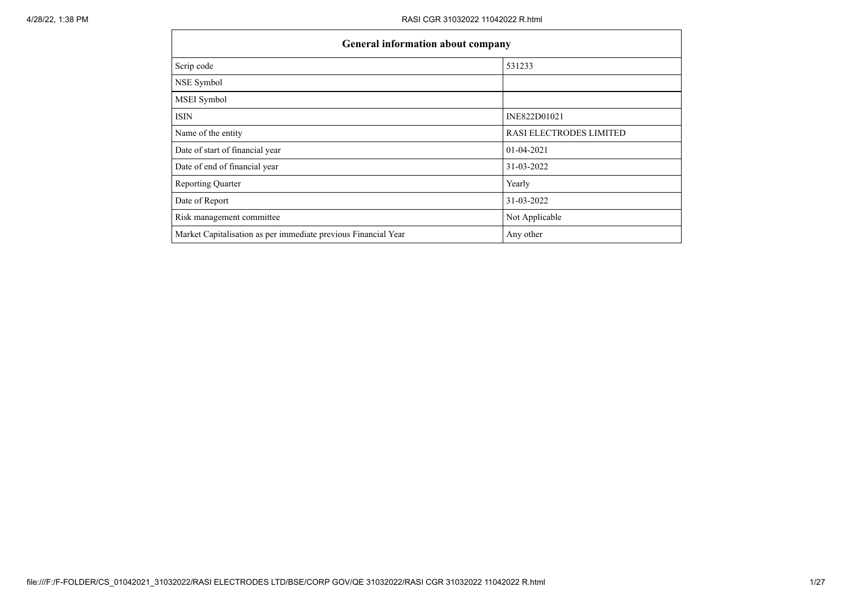| <b>General information about company</b>                       |                         |  |  |  |  |  |  |  |
|----------------------------------------------------------------|-------------------------|--|--|--|--|--|--|--|
| Scrip code                                                     | 531233                  |  |  |  |  |  |  |  |
| NSE Symbol                                                     |                         |  |  |  |  |  |  |  |
| MSEI Symbol                                                    |                         |  |  |  |  |  |  |  |
| <b>ISIN</b>                                                    | INE822D01021            |  |  |  |  |  |  |  |
| Name of the entity                                             | RASI ELECTRODES LIMITED |  |  |  |  |  |  |  |
| Date of start of financial year                                | 01-04-2021              |  |  |  |  |  |  |  |
| Date of end of financial year                                  | 31-03-2022              |  |  |  |  |  |  |  |
| <b>Reporting Quarter</b>                                       | Yearly                  |  |  |  |  |  |  |  |
| Date of Report                                                 | 31-03-2022              |  |  |  |  |  |  |  |
| Risk management committee                                      | Not Applicable          |  |  |  |  |  |  |  |
| Market Capitalisation as per immediate previous Financial Year | Any other               |  |  |  |  |  |  |  |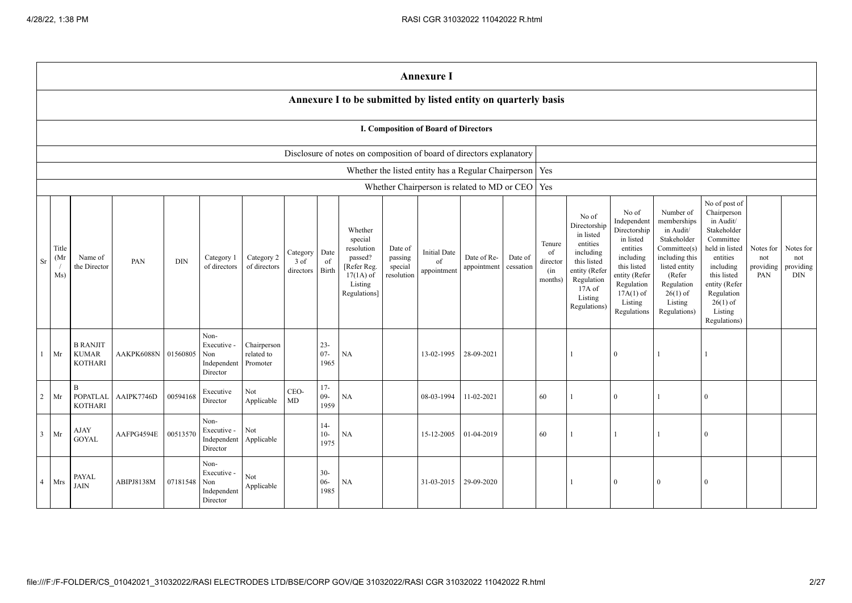|                |                                      |                                                   |            |            |                                                       |                                       |                               |                          |                                                                                                      |                                             | <b>Annexure I</b>                                         |                            |                      |                                            |                                                                                                                                                |                                                                                                                                                                   |                                                                                                                                                                          |                                                                                                                                                                                                         |                                      |                                             |
|----------------|--------------------------------------|---------------------------------------------------|------------|------------|-------------------------------------------------------|---------------------------------------|-------------------------------|--------------------------|------------------------------------------------------------------------------------------------------|---------------------------------------------|-----------------------------------------------------------|----------------------------|----------------------|--------------------------------------------|------------------------------------------------------------------------------------------------------------------------------------------------|-------------------------------------------------------------------------------------------------------------------------------------------------------------------|--------------------------------------------------------------------------------------------------------------------------------------------------------------------------|---------------------------------------------------------------------------------------------------------------------------------------------------------------------------------------------------------|--------------------------------------|---------------------------------------------|
|                |                                      |                                                   |            |            |                                                       |                                       |                               |                          | Annexure I to be submitted by listed entity on quarterly basis                                       |                                             |                                                           |                            |                      |                                            |                                                                                                                                                |                                                                                                                                                                   |                                                                                                                                                                          |                                                                                                                                                                                                         |                                      |                                             |
|                | I. Composition of Board of Directors |                                                   |            |            |                                                       |                                       |                               |                          |                                                                                                      |                                             |                                                           |                            |                      |                                            |                                                                                                                                                |                                                                                                                                                                   |                                                                                                                                                                          |                                                                                                                                                                                                         |                                      |                                             |
|                |                                      |                                                   |            |            |                                                       |                                       |                               |                          | Disclosure of notes on composition of board of directors explanatory                                 |                                             |                                                           |                            |                      |                                            |                                                                                                                                                |                                                                                                                                                                   |                                                                                                                                                                          |                                                                                                                                                                                                         |                                      |                                             |
|                |                                      |                                                   |            |            |                                                       |                                       |                               |                          |                                                                                                      |                                             | Whether the listed entity has a Regular Chairperson   Yes |                            |                      |                                            |                                                                                                                                                |                                                                                                                                                                   |                                                                                                                                                                          |                                                                                                                                                                                                         |                                      |                                             |
|                |                                      |                                                   |            |            |                                                       |                                       |                               |                          |                                                                                                      |                                             | Whether Chairperson is related to MD or CEO   Yes         |                            |                      |                                            |                                                                                                                                                |                                                                                                                                                                   |                                                                                                                                                                          |                                                                                                                                                                                                         |                                      |                                             |
| Sr             | Title<br>(Mr<br>Ms)                  | Name of<br>the Director                           | PAN        | <b>DIN</b> | Category 1<br>of directors                            | Category 2<br>of directors            | Category<br>3 of<br>directors | Date<br>of<br>Birth      | Whether<br>special<br>resolution<br>passed?<br>[Refer Reg.<br>$17(1A)$ of<br>Listing<br>Regulations] | Date of<br>passing<br>special<br>resolution | <b>Initial Date</b><br>of<br>appointment                  | Date of Re-<br>appointment | Date of<br>cessation | Tenure<br>of<br>director<br>(in<br>months) | No of<br>Directorship<br>in listed<br>entities<br>including<br>this listed<br>entity (Refer<br>Regulation<br>17A of<br>Listing<br>Regulations) | No of<br>Independent<br>Directorship<br>in listed<br>entities<br>including<br>this listed<br>entity (Refer<br>Regulation<br>$17A(1)$ of<br>Listing<br>Regulations | Number of<br>memberships<br>in Audit/<br>Stakeholder<br>Committee(s)<br>including this<br>listed entity<br>(Refer<br>Regulation<br>$26(1)$ of<br>Listing<br>Regulations) | No of post of<br>Chairperson<br>in Audit/<br>Stakeholder<br>Committee<br>held in listed<br>entities<br>including<br>this listed<br>entity (Refer<br>Regulation<br>$26(1)$ of<br>Listing<br>Regulations) | Notes for<br>not<br>providing<br>PAN | Notes for<br>not<br>providing<br><b>DIN</b> |
| $\mathbf{1}$   | Mr                                   | <b>B RANJIT</b><br><b>KUMAR</b><br><b>KOTHARI</b> | AAKPK6088N | 01560805   | Non-<br>Executive -<br>Non<br>Independent<br>Director | Chairperson<br>related to<br>Promoter |                               | $23 -$<br>$07 -$<br>1965 | NA                                                                                                   |                                             | 13-02-1995                                                | 28-09-2021                 |                      |                                            | $\mathbf{1}$                                                                                                                                   | $\overline{0}$                                                                                                                                                    |                                                                                                                                                                          |                                                                                                                                                                                                         |                                      |                                             |
| 2              | Mr                                   | <sub>B</sub><br><b>POPATLAL</b><br><b>KOTHARI</b> | AAIPK7746D | 00594168   | Executive<br>Director                                 | Not<br>Applicable                     | CEO-<br>MD                    | $17-$<br>$09 -$<br>1959  | NA                                                                                                   |                                             | 08-03-1994                                                | 11-02-2021                 |                      | 60                                         | $\mathbf{1}$                                                                                                                                   | $\bf{0}$                                                                                                                                                          |                                                                                                                                                                          | $\theta$                                                                                                                                                                                                |                                      |                                             |
| 3              | Mr                                   | <b>AJAY</b><br><b>GOYAL</b>                       | AAFPG4594E | 00513570   | Non-<br>Executive -<br>Independent<br>Director        | Not<br>Applicable                     |                               | $14-$<br>$10-$<br>1975   | NA                                                                                                   |                                             | 15-12-2005                                                | 01-04-2019                 |                      | 60                                         |                                                                                                                                                | $\mathbf{1}$                                                                                                                                                      |                                                                                                                                                                          | $\Omega$                                                                                                                                                                                                |                                      |                                             |
| $\overline{4}$ | Mrs                                  | PAYAL<br><b>JAIN</b>                              | ABIPJ8138M | 07181548   | Non-<br>Executive -<br>Non<br>Independent<br>Director | Not<br>Applicable                     |                               | $30 -$<br>$06 -$<br>1985 | <b>NA</b>                                                                                            |                                             | 31-03-2015                                                | 29-09-2020                 |                      |                                            | $\mathbf{1}$                                                                                                                                   | $\theta$                                                                                                                                                          | $\Omega$                                                                                                                                                                 | $\Omega$                                                                                                                                                                                                |                                      |                                             |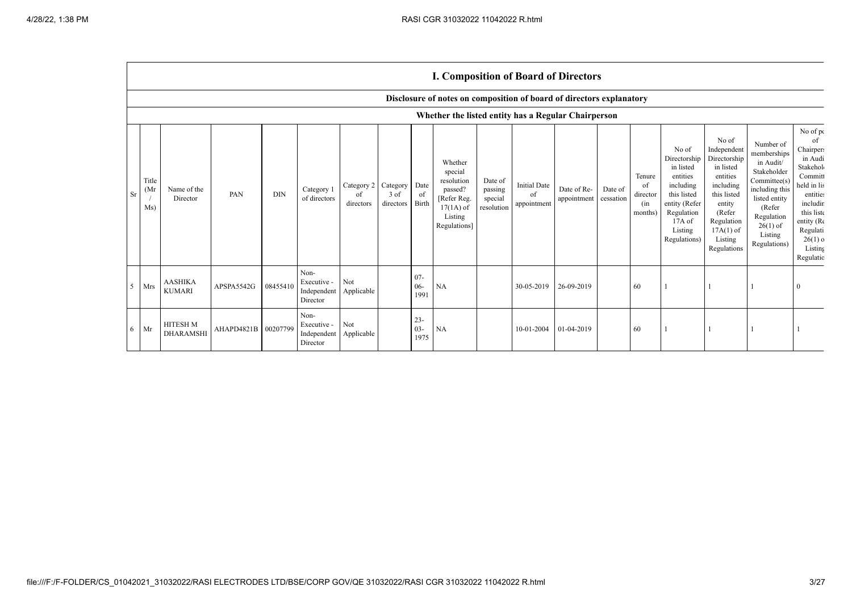|           |                                   |                                                     |                     |            |                                                           |                               |                               |                          | <b>1. Composition of Board of Directors</b>                                                          |                                             |                                          |                            |                      |                                            |                                                                                                                                                |                                                                                                                                                                      |                                                                                                                                                                          |                                                                                                                                                                                  |
|-----------|-----------------------------------|-----------------------------------------------------|---------------------|------------|-----------------------------------------------------------|-------------------------------|-------------------------------|--------------------------|------------------------------------------------------------------------------------------------------|---------------------------------------------|------------------------------------------|----------------------------|----------------------|--------------------------------------------|------------------------------------------------------------------------------------------------------------------------------------------------|----------------------------------------------------------------------------------------------------------------------------------------------------------------------|--------------------------------------------------------------------------------------------------------------------------------------------------------------------------|----------------------------------------------------------------------------------------------------------------------------------------------------------------------------------|
|           |                                   |                                                     |                     |            |                                                           |                               |                               |                          | Disclosure of notes on composition of board of directors explanatory                                 |                                             |                                          |                            |                      |                                            |                                                                                                                                                |                                                                                                                                                                      |                                                                                                                                                                          |                                                                                                                                                                                  |
|           |                                   | Whether the listed entity has a Regular Chairperson |                     |            |                                                           |                               |                               |                          |                                                                                                      |                                             |                                          |                            |                      |                                            |                                                                                                                                                |                                                                                                                                                                      |                                                                                                                                                                          |                                                                                                                                                                                  |
| <b>Sr</b> | Title<br>(M <sub>1</sub> )<br>Ms) | Name of the<br>Director                             | PAN                 | <b>DIN</b> | Category 1<br>of directors                                | Category 2<br>of<br>directors | Category<br>3 of<br>directors | Date<br>- OI<br>Birth    | Whether<br>special<br>resolution<br>passed?<br>[Refer Reg.<br>$17(1A)$ of<br>Listing<br>Regulations] | Date of<br>passing<br>special<br>resolution | <b>Initial Date</b><br>of<br>appointment | Date of Re-<br>appointment | Date of<br>cessation | Tenure<br>of<br>director<br>(in<br>months) | No of<br>Directorship<br>in listed<br>entities<br>including<br>this listed<br>entity (Refer<br>Regulation<br>17A of<br>Listing<br>Regulations) | No of<br>Independent<br>Directorship<br>in listed<br>entities<br>including<br>this listed<br>entity<br>(Refer<br>Regulation<br>$17A(1)$ of<br>Listing<br>Regulations | Number of<br>memberships<br>in Audit/<br>Stakeholder<br>Committee(s)<br>including this<br>listed entity<br>(Refer<br>Regulation<br>$26(1)$ of<br>Listing<br>Regulations) | No of po<br>of<br>Chairpers<br>in Audi<br>Stakehol<br>Committ<br>held in lis<br>entities<br>includir<br>this list<br>entity (Re<br>Regulati<br>$26(1)$ o<br>Listing<br>Regulatio |
| 5         | Mrs                               | <b>AASHIKA</b><br><b>KUMARI</b>                     | APSPA5542G          | 08455410   | Non-<br>Executive -<br>Independent Applicable<br>Director | Not                           |                               | $07 -$<br>$06 -$<br>1991 | <b>NA</b>                                                                                            |                                             | 30-05-2019                               | 26-09-2019                 |                      | 60                                         |                                                                                                                                                |                                                                                                                                                                      |                                                                                                                                                                          | $\mathbf{0}$                                                                                                                                                                     |
| 6         | Mr                                | <b>HITESH M</b><br><b>DHARAMSHI</b>                 | AHAPD4821B 00207799 |            | Non-<br>Executive -<br>Independent<br>Director            | Not<br>Applicable             |                               | $23 -$<br>$03 -$<br>1975 | <b>NA</b>                                                                                            |                                             | 10-01-2004                               | 01-04-2019                 |                      | 60                                         |                                                                                                                                                |                                                                                                                                                                      |                                                                                                                                                                          |                                                                                                                                                                                  |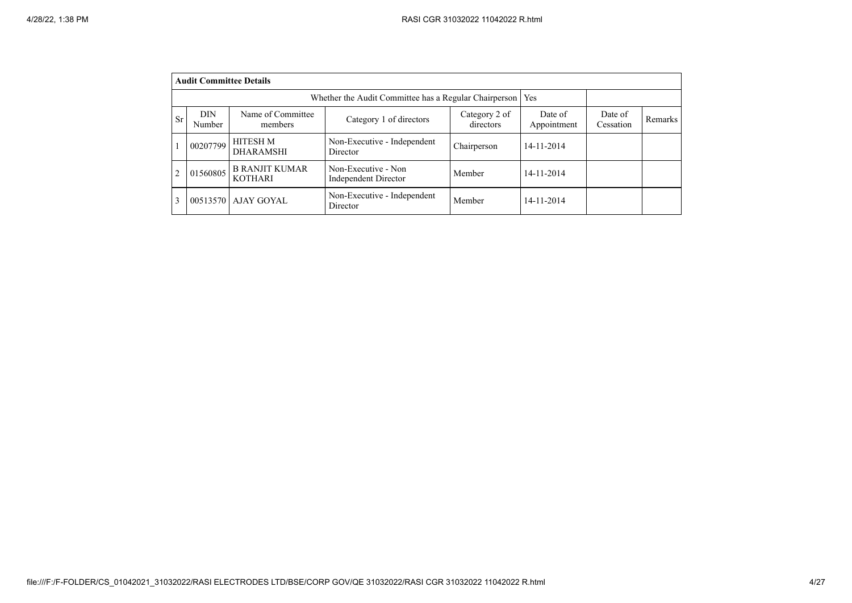|           | <b>Audit Committee Details</b> |                                         |                                                       |                            |                        |                      |         |
|-----------|--------------------------------|-----------------------------------------|-------------------------------------------------------|----------------------------|------------------------|----------------------|---------|
|           |                                |                                         | Whether the Audit Committee has a Regular Chairperson |                            | Yes                    |                      |         |
| <b>Sr</b> | <b>DIN</b><br>Number           | Name of Committee<br>members            | Category 1 of directors                               | Category 2 of<br>directors | Date of<br>Appointment | Date of<br>Cessation | Remarks |
|           | 00207799                       | HITESH M<br><b>DHARAMSHI</b>            | Non-Executive - Independent<br>Director               | Chairperson                | 14-11-2014             |                      |         |
| 2         | 01560805                       | <b>B RANJIT KUMAR</b><br><b>KOTHARI</b> | Non-Executive - Non<br>Independent Director           | Member                     | 14-11-2014             |                      |         |
| 3         |                                | 00513570   AJAY GOYAL                   | Non-Executive - Independent<br>Director               | Member                     | 14-11-2014             |                      |         |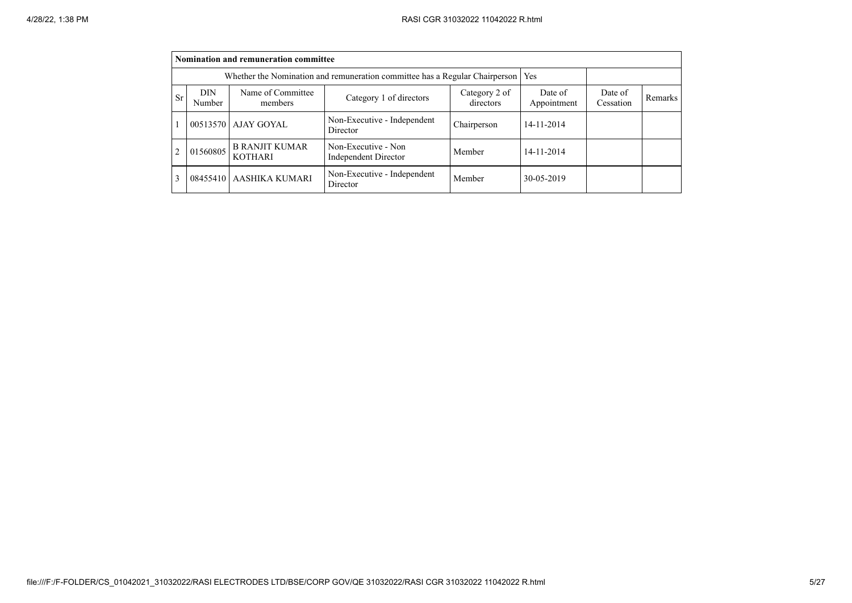|                |               | Nomination and remuneration committee   |                                                                             |                        |                      |         |  |
|----------------|---------------|-----------------------------------------|-----------------------------------------------------------------------------|------------------------|----------------------|---------|--|
|                |               |                                         | Whether the Nomination and remuneration committee has a Regular Chairperson |                        | Yes                  |         |  |
| <b>Sr</b>      | DIN<br>Number | Name of Committee<br>members            | Category 2 of<br>directors                                                  | Date of<br>Appointment | Date of<br>Cessation | Remarks |  |
|                |               | 00513570   AJAY GOYAL                   | Non-Executive - Independent<br>Director                                     | Chairperson            | 14-11-2014           |         |  |
| $\overline{2}$ | 01560805      | <b>B RANJIT KUMAR</b><br><b>KOTHARI</b> | Non-Executive - Non<br><b>Independent Director</b>                          | Member                 | 14-11-2014           |         |  |
| 3              |               | 08455410 AASHIKA KUMARI                 | Non-Executive - Independent<br>Director                                     | Member                 | 30-05-2019           |         |  |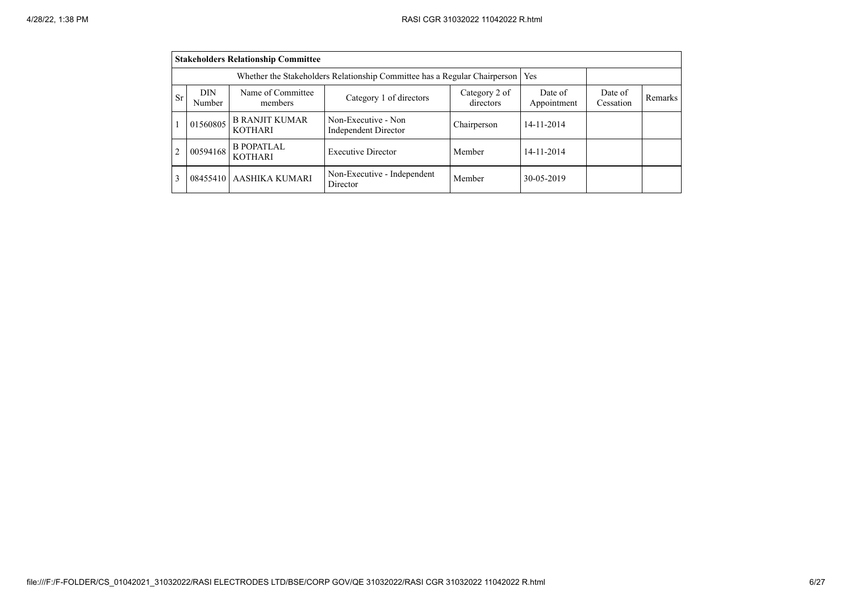|                |               | <b>Stakeholders Relationship Committee</b> |                                                                           |                            |                        |                      |         |
|----------------|---------------|--------------------------------------------|---------------------------------------------------------------------------|----------------------------|------------------------|----------------------|---------|
|                |               |                                            | Whether the Stakeholders Relationship Committee has a Regular Chairperson |                            | Yes                    |                      |         |
| <b>Sr</b>      | DIN<br>Number | Name of Committee<br>members               | Category 1 of directors                                                   | Category 2 of<br>directors | Date of<br>Appointment | Date of<br>Cessation | Remarks |
|                | 01560805      | <b>B RANJIT KUMAR</b><br><b>KOTHARI</b>    | Non-Executive - Non<br>Independent Director                               | Chairperson                | 14-11-2014             |                      |         |
| $\overline{2}$ | 00594168      | <b>B POPATLAL</b><br><b>KOTHARI</b>        | <b>Executive Director</b>                                                 | Member                     | 14-11-2014             |                      |         |
| 3              | 08455410      | <b>AASHIKA KUMARI</b>                      | Non-Executive - Independent<br>Director                                   | Member                     | 30-05-2019             |                      |         |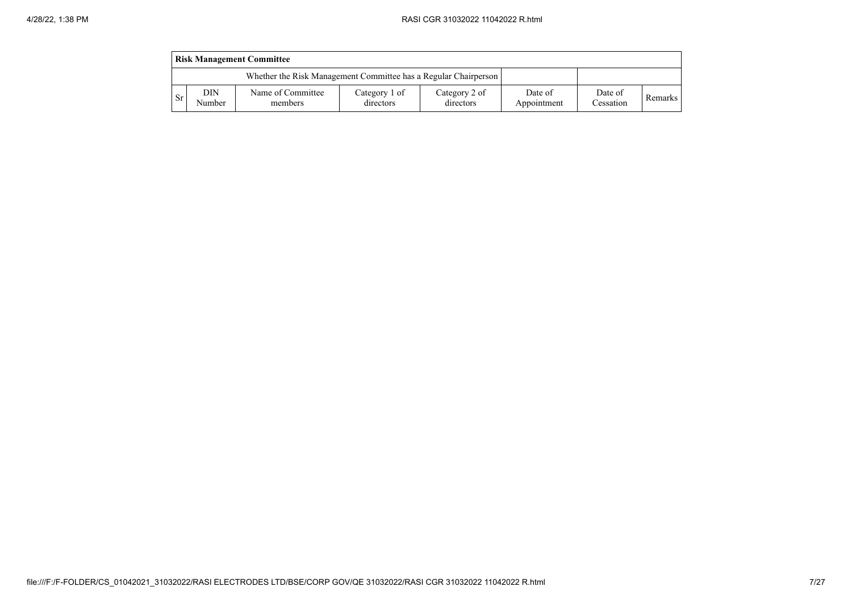|           | <b>Risk Management Committee</b> |                                                                 |                            |                            |                        |                      |                |  |  |  |  |  |  |
|-----------|----------------------------------|-----------------------------------------------------------------|----------------------------|----------------------------|------------------------|----------------------|----------------|--|--|--|--|--|--|
|           |                                  | Whether the Risk Management Committee has a Regular Chairperson |                            |                            |                        |                      |                |  |  |  |  |  |  |
| <b>Sr</b> | DIN<br>Number                    | Name of Committee<br>members                                    | Category 1 of<br>directors | Category 2 of<br>directors | Date of<br>Appointment | Date of<br>Cessation | <b>Remarks</b> |  |  |  |  |  |  |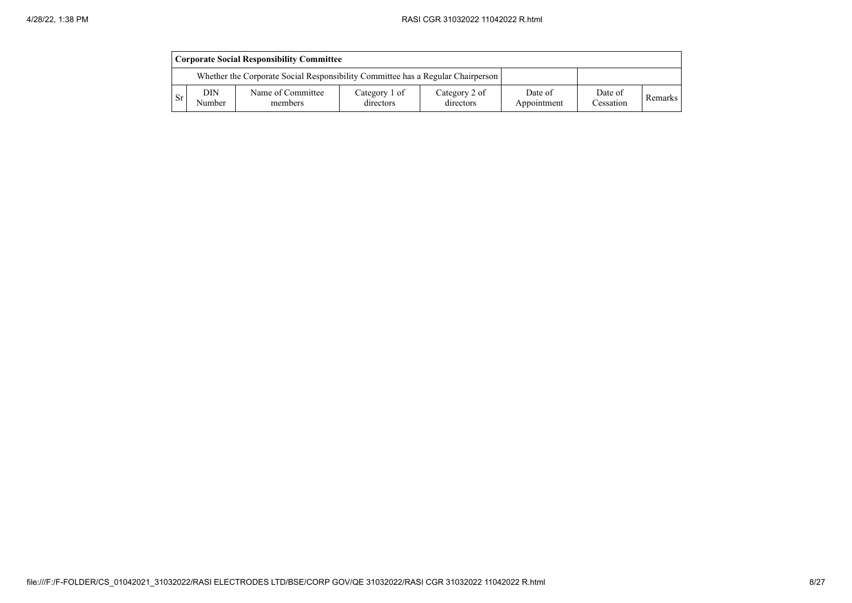|     | <b>Corporate Social Responsibility Committee</b>                                |                              |                            |                            |                        |                      |         |  |  |  |  |  |
|-----|---------------------------------------------------------------------------------|------------------------------|----------------------------|----------------------------|------------------------|----------------------|---------|--|--|--|--|--|
|     | Whether the Corporate Social Responsibility Committee has a Regular Chairperson |                              |                            |                            |                        |                      |         |  |  |  |  |  |
| -Sr | DIN<br>Number                                                                   | Name of Committee<br>members | Category 1 of<br>directors | Category 2 of<br>directors | Date of<br>Appointment | Date of<br>Cessation | Remarks |  |  |  |  |  |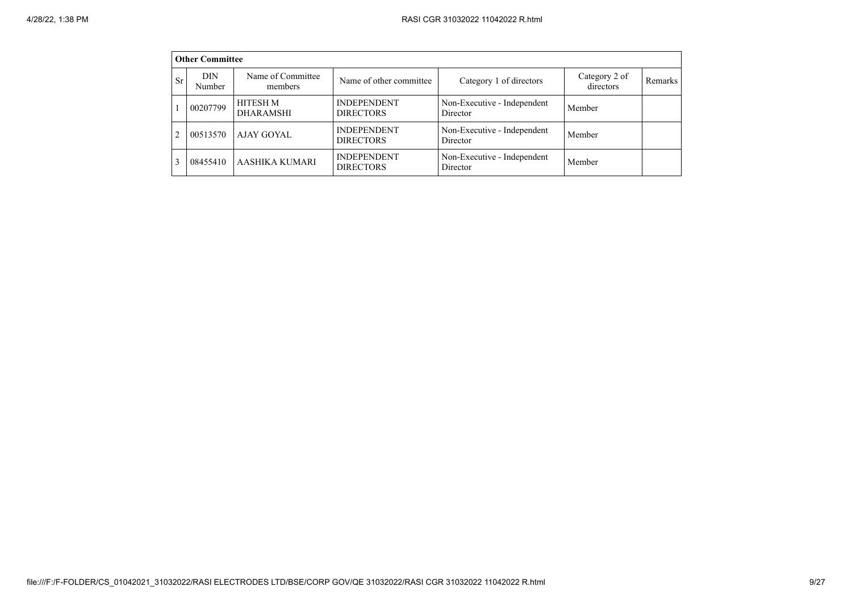|                | <b>Other Committee</b> |                                     |                                        |                                         |                            |         |
|----------------|------------------------|-------------------------------------|----------------------------------------|-----------------------------------------|----------------------------|---------|
| <b>Sr</b>      | <b>DIN</b><br>Number   | Name of Committee<br>members        | Name of other committee                | Category 1 of directors                 | Category 2 of<br>directors | Remarks |
|                | 00207799               | <b>HITESH M</b><br><b>DHARAMSHI</b> | <b>INDEPENDENT</b><br><b>DIRECTORS</b> | Non-Executive - Independent<br>Director | Member                     |         |
| $\mathfrak{D}$ | 00513570               | AJAY GOYAL                          | <b>INDEPENDENT</b><br><b>DIRECTORS</b> | Non-Executive - Independent<br>Director | Member                     |         |
| 3              | 08455410               | <b>AASHIKA KUMARI</b>               | <b>INDEPENDENT</b><br><b>DIRECTORS</b> | Non-Executive - Independent<br>Director | Member                     |         |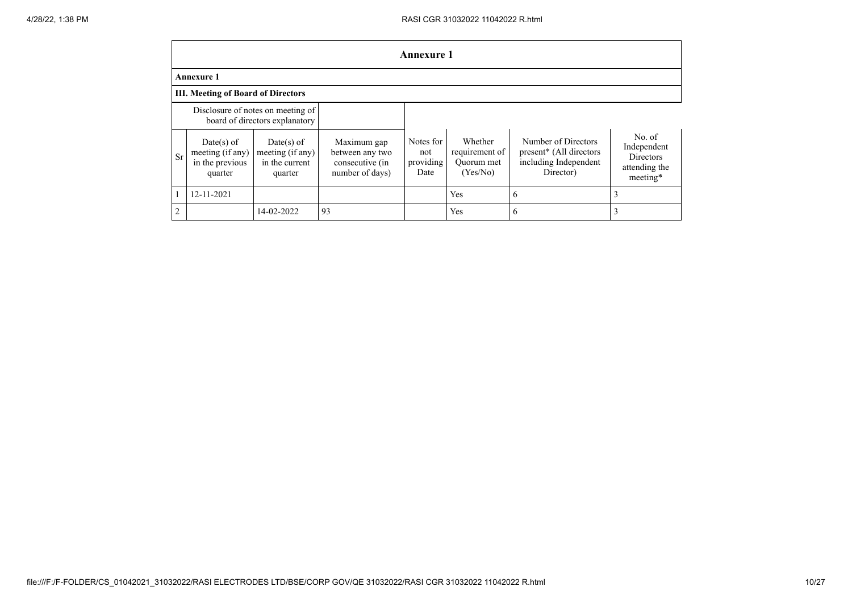|                | <b>Annexure 1</b>                                                   |                                                                |                                                                      |                                       |                                                     |                                                                                                  |                                                                        |  |  |  |  |  |  |
|----------------|---------------------------------------------------------------------|----------------------------------------------------------------|----------------------------------------------------------------------|---------------------------------------|-----------------------------------------------------|--------------------------------------------------------------------------------------------------|------------------------------------------------------------------------|--|--|--|--|--|--|
|                | <b>Annexure 1</b>                                                   |                                                                |                                                                      |                                       |                                                     |                                                                                                  |                                                                        |  |  |  |  |  |  |
|                | <b>III. Meeting of Board of Directors</b>                           |                                                                |                                                                      |                                       |                                                     |                                                                                                  |                                                                        |  |  |  |  |  |  |
|                | Disclosure of notes on meeting of<br>board of directors explanatory |                                                                |                                                                      |                                       |                                                     |                                                                                                  |                                                                        |  |  |  |  |  |  |
| <b>Sr</b>      | $Date(s)$ of<br>meeting (if any)<br>in the previous<br>quarter      | Date(s) of<br>meeting $(i f any)$<br>in the current<br>quarter | Maximum gap<br>between any two<br>consecutive (in<br>number of days) | Notes for<br>not<br>providing<br>Date | Whether<br>requirement of<br>Ouorum met<br>(Yes/No) | Number of Directors<br>present <sup>*</sup> (All directors<br>including Independent<br>Director) | No. of<br>Independent<br><b>Directors</b><br>attending the<br>meeting* |  |  |  |  |  |  |
|                | 12-11-2021                                                          |                                                                |                                                                      |                                       | Yes                                                 | 6                                                                                                | 3                                                                      |  |  |  |  |  |  |
| $\overline{2}$ |                                                                     | 14-02-2022                                                     | 93                                                                   |                                       | Yes                                                 | 6                                                                                                | 3                                                                      |  |  |  |  |  |  |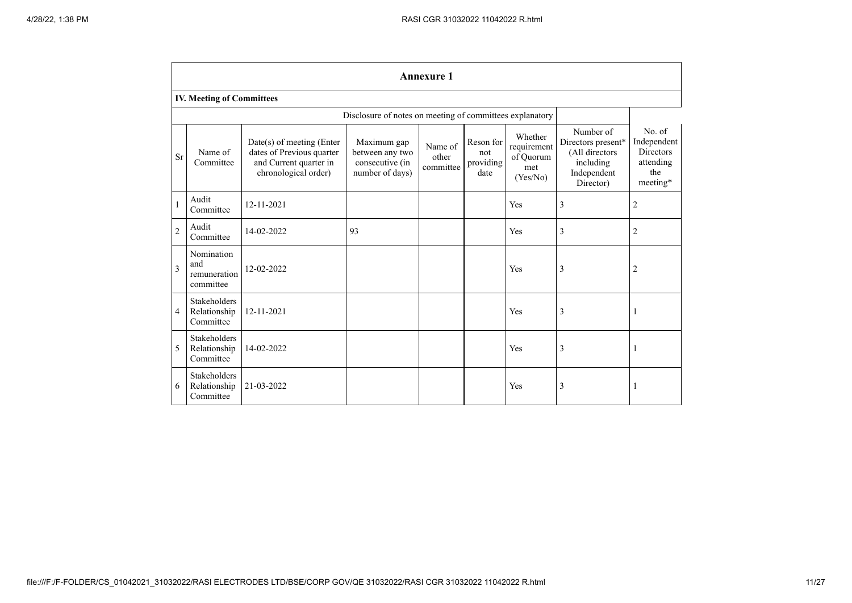|                | <b>Annexure 1</b>                                |                                                                                                            |                                                                      |                               |                                       |                                                        |                                                                                            |                                                                           |  |  |  |  |  |
|----------------|--------------------------------------------------|------------------------------------------------------------------------------------------------------------|----------------------------------------------------------------------|-------------------------------|---------------------------------------|--------------------------------------------------------|--------------------------------------------------------------------------------------------|---------------------------------------------------------------------------|--|--|--|--|--|
|                | <b>IV. Meeting of Committees</b>                 |                                                                                                            |                                                                      |                               |                                       |                                                        |                                                                                            |                                                                           |  |  |  |  |  |
|                |                                                  |                                                                                                            | Disclosure of notes on meeting of committees explanatory             |                               |                                       |                                                        |                                                                                            |                                                                           |  |  |  |  |  |
| <b>Sr</b>      | Name of<br>Committee                             | $Date(s)$ of meeting (Enter<br>dates of Previous quarter<br>and Current quarter in<br>chronological order) | Maximum gap<br>between any two<br>consecutive (in<br>number of days) | Name of<br>other<br>committee | Reson for<br>not<br>providing<br>date | Whether<br>requirement<br>of Ouorum<br>met<br>(Yes/No) | Number of<br>Directors present*<br>(All directors<br>including<br>Independent<br>Director) | No. of<br>Independent<br><b>Directors</b><br>attending<br>the<br>meeting* |  |  |  |  |  |
| $\mathbf{1}$   | Audit<br>Committee                               | 12-11-2021                                                                                                 |                                                                      |                               |                                       | Yes                                                    | 3                                                                                          | 2                                                                         |  |  |  |  |  |
| $\overline{2}$ | Audit<br>Committee                               | 14-02-2022                                                                                                 | 93                                                                   |                               |                                       | Yes                                                    | 3                                                                                          | $\overline{2}$                                                            |  |  |  |  |  |
| 3              | Nomination<br>and<br>remuneration<br>committee   | 12-02-2022                                                                                                 |                                                                      |                               |                                       | Yes                                                    | 3                                                                                          | $\overline{2}$                                                            |  |  |  |  |  |
| 4              | <b>Stakeholders</b><br>Relationship<br>Committee | 12-11-2021                                                                                                 |                                                                      |                               |                                       | Yes                                                    | 3                                                                                          | J.                                                                        |  |  |  |  |  |
| 5              | <b>Stakeholders</b><br>Relationship<br>Committee | 14-02-2022                                                                                                 |                                                                      |                               |                                       | Yes                                                    | 3                                                                                          | H                                                                         |  |  |  |  |  |
| 6              | <b>Stakeholders</b><br>Relationship<br>Committee | 21-03-2022                                                                                                 |                                                                      |                               |                                       | Yes                                                    | 3                                                                                          | 1                                                                         |  |  |  |  |  |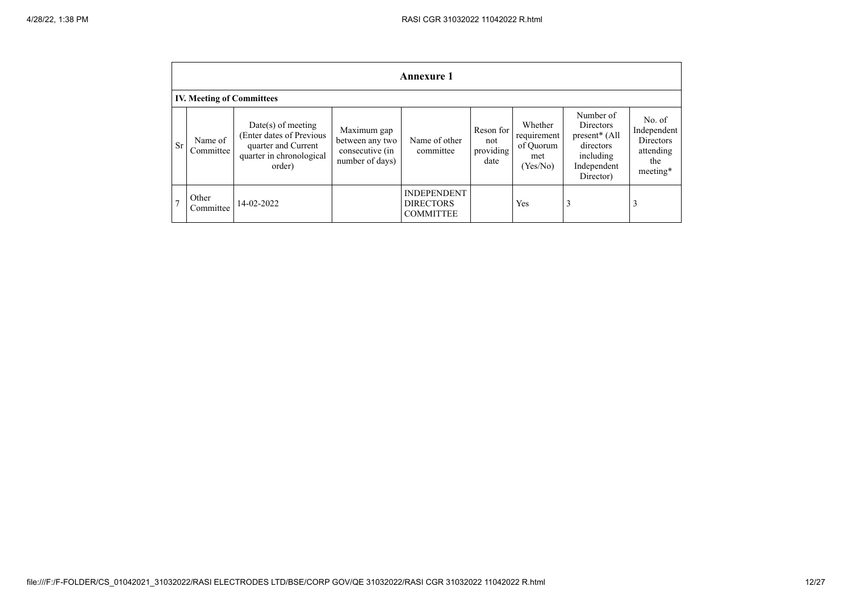|                | Annexure 1                       |                                                                                                              |                                                                      |                                                            |                                       |                                                        |                                                                                                 |                                                                    |  |  |  |  |  |
|----------------|----------------------------------|--------------------------------------------------------------------------------------------------------------|----------------------------------------------------------------------|------------------------------------------------------------|---------------------------------------|--------------------------------------------------------|-------------------------------------------------------------------------------------------------|--------------------------------------------------------------------|--|--|--|--|--|
|                | <b>IV. Meeting of Committees</b> |                                                                                                              |                                                                      |                                                            |                                       |                                                        |                                                                                                 |                                                                    |  |  |  |  |  |
| <b>Sr</b>      | Name of<br>Committee             | Date(s) of meeting<br>(Enter dates of Previous)<br>quarter and Current<br>quarter in chronological<br>order) | Maximum gap<br>between any two<br>consecutive (in<br>number of days) | Name of other<br>committee                                 | Reson for<br>not<br>providing<br>date | Whether<br>requirement<br>of Quorum<br>met<br>(Yes/No) | Number of<br>Directors<br>$present*$ (All<br>directors<br>including<br>Independent<br>Director) | No. of<br>Independent<br>Directors<br>attending<br>the<br>meeting* |  |  |  |  |  |
| $\overline{ }$ | Other<br>Committee               | 14-02-2022                                                                                                   |                                                                      | <b>INDEPENDENT</b><br><b>DIRECTORS</b><br><b>COMMITTEE</b> |                                       | Yes                                                    |                                                                                                 | 3                                                                  |  |  |  |  |  |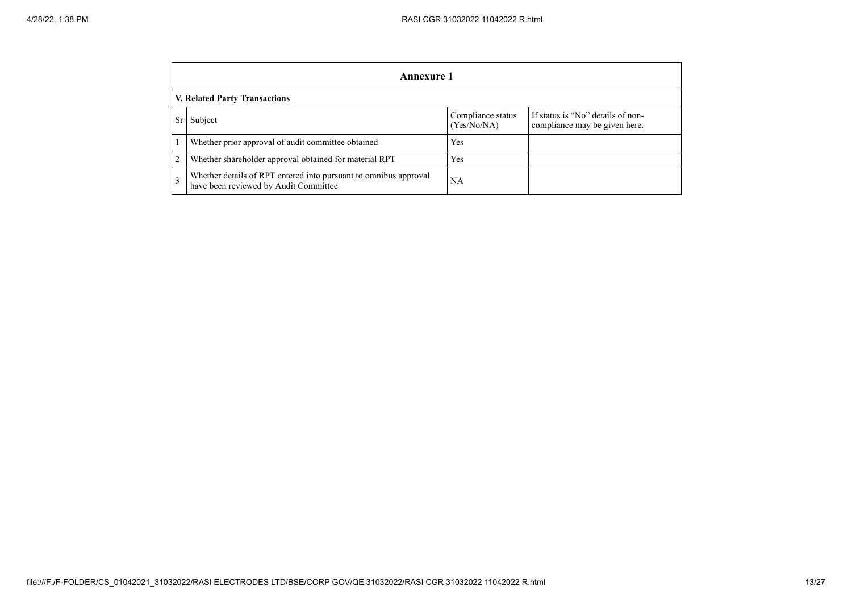|           | Annexure 1                                                                                                |                                  |                                                                    |  |  |  |
|-----------|-----------------------------------------------------------------------------------------------------------|----------------------------------|--------------------------------------------------------------------|--|--|--|
|           | <b>V. Related Party Transactions</b>                                                                      |                                  |                                                                    |  |  |  |
| <b>Sr</b> | Subject                                                                                                   | Compliance status<br>(Yes/No/NA) | If status is "No" details of non-<br>compliance may be given here. |  |  |  |
|           | Whether prior approval of audit committee obtained                                                        | Yes                              |                                                                    |  |  |  |
| 2         | Whether shareholder approval obtained for material RPT                                                    | Yes                              |                                                                    |  |  |  |
| 3         | Whether details of RPT entered into pursuant to omnibus approval<br>have been reviewed by Audit Committee | <b>NA</b>                        |                                                                    |  |  |  |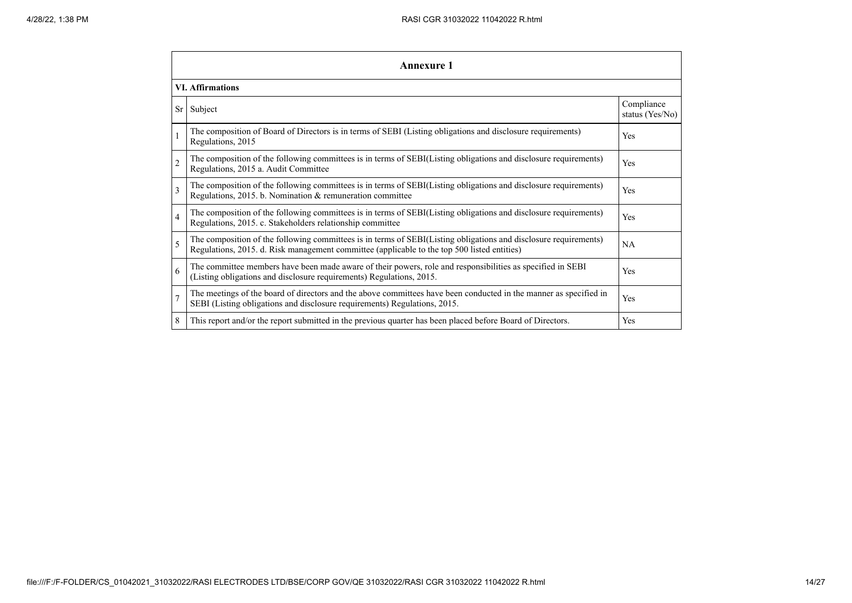|                         | <b>Annexure 1</b>                                                                                                                                                                                               |                               |  |  |  |  |
|-------------------------|-----------------------------------------------------------------------------------------------------------------------------------------------------------------------------------------------------------------|-------------------------------|--|--|--|--|
|                         | <b>VI.</b> Affirmations                                                                                                                                                                                         |                               |  |  |  |  |
|                         | $Sr$ Subject                                                                                                                                                                                                    | Compliance<br>status (Yes/No) |  |  |  |  |
| $\mathbf{1}$            | The composition of Board of Directors is in terms of SEBI (Listing obligations and disclosure requirements)<br>Regulations, 2015                                                                                | Yes                           |  |  |  |  |
| $\overline{c}$          | The composition of the following committees is in terms of SEBI(Listing obligations and disclosure requirements)<br>Regulations, 2015 a. Audit Committee                                                        | Yes                           |  |  |  |  |
| $\overline{\mathbf{3}}$ | The composition of the following committees is in terms of SEBI(Listing obligations and disclosure requirements)<br>Regulations, 2015. b. Nomination & remuneration committee                                   | Yes                           |  |  |  |  |
| $\overline{4}$          | The composition of the following committees is in terms of SEBI(Listing obligations and disclosure requirements)<br>Regulations, 2015. c. Stakeholders relationship committee                                   | Yes                           |  |  |  |  |
| 5                       | The composition of the following committees is in terms of SEBI(Listing obligations and disclosure requirements)<br>Regulations, 2015. d. Risk management committee (applicable to the top 500 listed entities) | NA                            |  |  |  |  |
| 6                       | The committee members have been made aware of their powers, role and responsibilities as specified in SEBI<br>(Listing obligations and disclosure requirements) Regulations, 2015.                              | Yes                           |  |  |  |  |
| $\overline{7}$          | The meetings of the board of directors and the above committees have been conducted in the manner as specified in<br>SEBI (Listing obligations and disclosure requirements) Regulations, 2015.                  | Yes                           |  |  |  |  |
| 8                       | This report and/or the report submitted in the previous quarter has been placed before Board of Directors.                                                                                                      | Yes                           |  |  |  |  |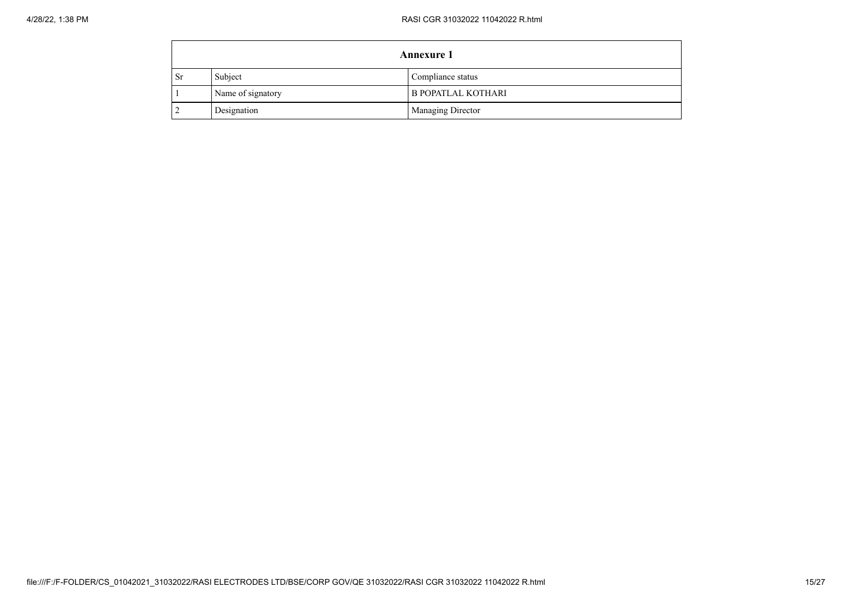|           | <b>Annexure 1</b> |                           |  |  |
|-----------|-------------------|---------------------------|--|--|
| <b>Sr</b> | Subject           | Compliance status         |  |  |
|           | Name of signatory | <b>B POPATLAL KOTHARI</b> |  |  |
|           | Designation       | Managing Director         |  |  |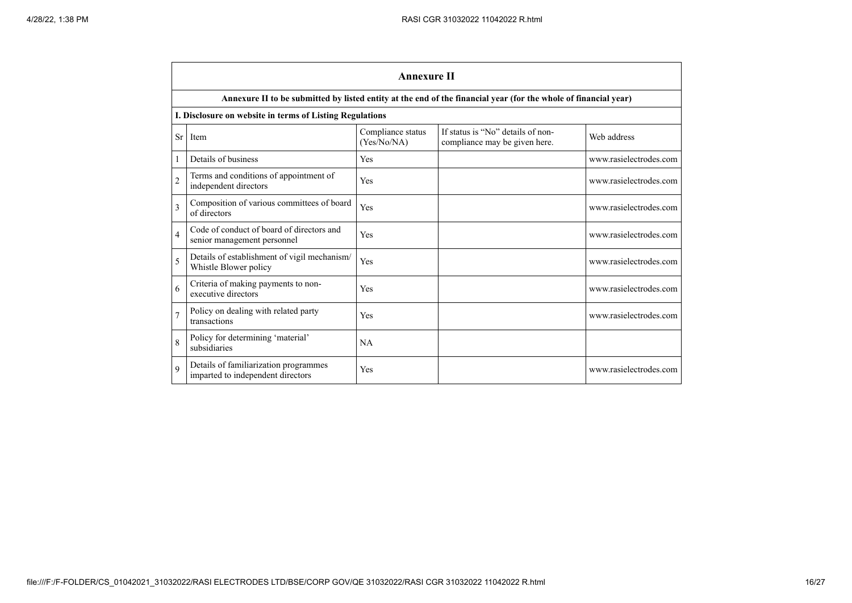|                | <b>Annexure II</b>                                                         |                                  |                                                                                                                 |                        |  |  |
|----------------|----------------------------------------------------------------------------|----------------------------------|-----------------------------------------------------------------------------------------------------------------|------------------------|--|--|
|                |                                                                            |                                  | Annexure II to be submitted by listed entity at the end of the financial year (for the whole of financial year) |                        |  |  |
|                | I. Disclosure on website in terms of Listing Regulations                   |                                  |                                                                                                                 |                        |  |  |
| <b>Sr</b>      | Item                                                                       | Compliance status<br>(Yes/No/NA) | If status is "No" details of non-<br>compliance may be given here.                                              | Web address            |  |  |
| 1              | Details of business                                                        | Yes                              |                                                                                                                 | www.rasielectrodes.com |  |  |
| $\overline{c}$ | Terms and conditions of appointment of<br>independent directors            | Yes                              |                                                                                                                 | www.rasielectrodes.com |  |  |
| 3              | Composition of various committees of board<br>of directors                 | Yes                              |                                                                                                                 | www.rasielectrodes.com |  |  |
| $\overline{4}$ | Code of conduct of board of directors and<br>senior management personnel   | Yes                              |                                                                                                                 | www.rasielectrodes.com |  |  |
| 5              | Details of establishment of vigil mechanism/<br>Whistle Blower policy      | Yes                              |                                                                                                                 | www.rasielectrodes.com |  |  |
| 6              | Criteria of making payments to non-<br>executive directors                 | Yes                              |                                                                                                                 | www.rasielectrodes.com |  |  |
| $\overline{7}$ | Policy on dealing with related party<br>transactions                       | Yes                              |                                                                                                                 | www.rasielectrodes.com |  |  |
| 8              | Policy for determining 'material'<br>subsidiaries                          | <b>NA</b>                        |                                                                                                                 |                        |  |  |
| 9              | Details of familiarization programmes<br>imparted to independent directors | Yes                              |                                                                                                                 | www.rasielectrodes.com |  |  |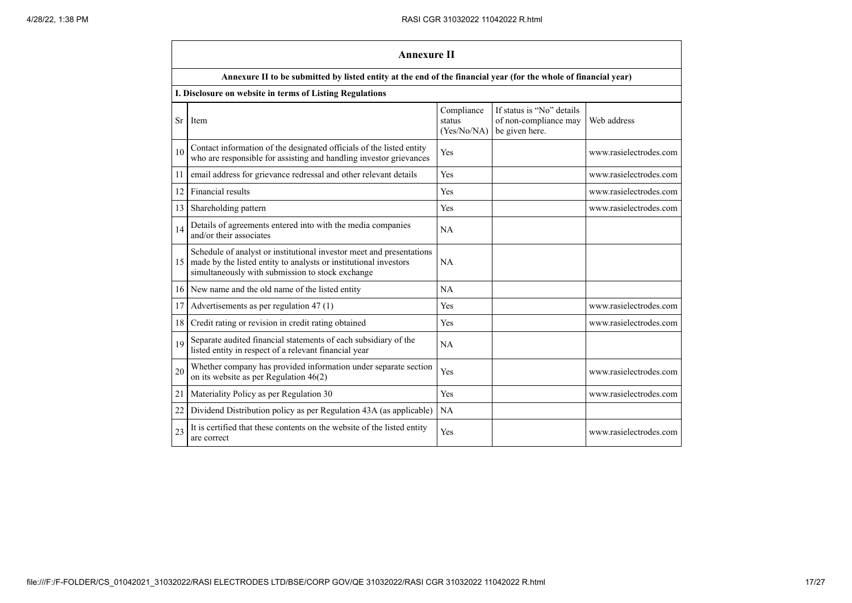|           | <b>Annexure II</b>                                                                                                                                                                           |                                     |                                                                      |                        |  |
|-----------|----------------------------------------------------------------------------------------------------------------------------------------------------------------------------------------------|-------------------------------------|----------------------------------------------------------------------|------------------------|--|
|           | Annexure II to be submitted by listed entity at the end of the financial year (for the whole of financial year)                                                                              |                                     |                                                                      |                        |  |
|           | I. Disclosure on website in terms of Listing Regulations                                                                                                                                     |                                     |                                                                      |                        |  |
| <b>Sr</b> | Item                                                                                                                                                                                         | Compliance<br>status<br>(Yes/No/NA) | If status is "No" details<br>of non-compliance may<br>be given here. | Web address            |  |
| 10        | Contact information of the designated officials of the listed entity<br>who are responsible for assisting and handling investor grievances                                                   | Yes                                 |                                                                      | www.rasielectrodes.com |  |
| 11        | email address for grievance redressal and other relevant details                                                                                                                             | Yes                                 |                                                                      | www.rasielectrodes.com |  |
| 12        | Financial results                                                                                                                                                                            | Yes                                 |                                                                      | www.rasielectrodes.com |  |
| 13        | Shareholding pattern                                                                                                                                                                         | Yes                                 |                                                                      | www.rasielectrodes.com |  |
| 14        | Details of agreements entered into with the media companies<br>and/or their associates                                                                                                       | <b>NA</b>                           |                                                                      |                        |  |
| 15        | Schedule of analyst or institutional investor meet and presentations<br>made by the listed entity to analysts or institutional investors<br>simultaneously with submission to stock exchange | NA                                  |                                                                      |                        |  |
| 16        | New name and the old name of the listed entity                                                                                                                                               | NA                                  |                                                                      |                        |  |
| 17        | Advertisements as per regulation 47 (1)                                                                                                                                                      | Yes                                 |                                                                      | www.rasielectrodes.com |  |
| 18        | Credit rating or revision in credit rating obtained                                                                                                                                          | Yes                                 |                                                                      | www.rasielectrodes.com |  |
| 19        | Separate audited financial statements of each subsidiary of the<br>listed entity in respect of a relevant financial year                                                                     | NA                                  |                                                                      |                        |  |
| 20        | Whether company has provided information under separate section<br>on its website as per Regulation $46(2)$                                                                                  | Yes                                 |                                                                      | www.rasielectrodes.com |  |
| 21        | Materiality Policy as per Regulation 30                                                                                                                                                      | Yes                                 |                                                                      | www.rasielectrodes.com |  |
| 22        | Dividend Distribution policy as per Regulation 43A (as applicable)                                                                                                                           | NA                                  |                                                                      |                        |  |
| 23        | It is certified that these contents on the website of the listed entity<br>are correct                                                                                                       | Yes                                 |                                                                      | www.rasielectrodes.com |  |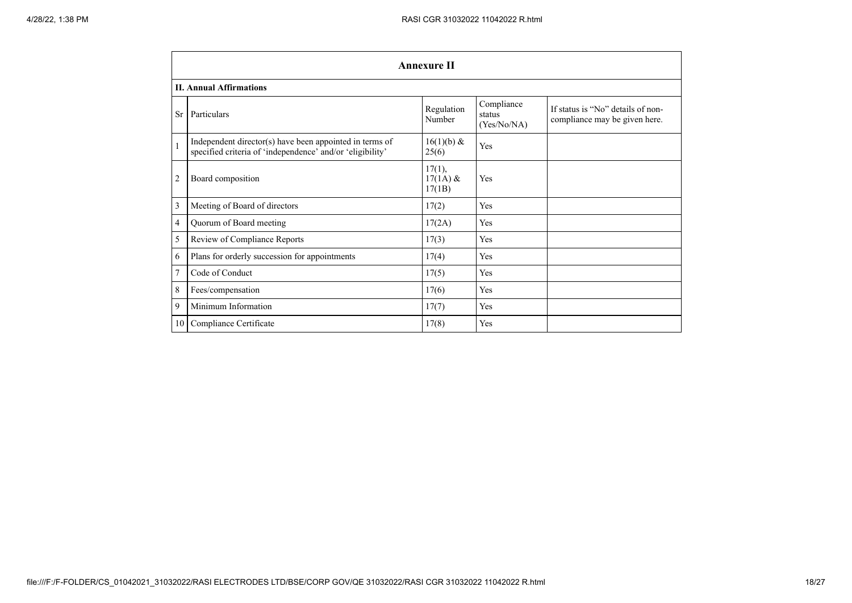|                | <b>Annexure II</b>                                                                                                   |                                   |                                     |                                                                    |  |
|----------------|----------------------------------------------------------------------------------------------------------------------|-----------------------------------|-------------------------------------|--------------------------------------------------------------------|--|
|                | <b>II. Annual Affirmations</b>                                                                                       |                                   |                                     |                                                                    |  |
| <b>Sr</b>      | Particulars                                                                                                          | Regulation<br>Number              | Compliance<br>status<br>(Yes/No/NA) | If status is "No" details of non-<br>compliance may be given here. |  |
| $\mathbf{1}$   | Independent director(s) have been appointed in terms of<br>specified criteria of 'independence' and/or 'eligibility' | $16(1)(b)$ &<br>25(6)             | Yes                                 |                                                                    |  |
| $\overline{2}$ | Board composition                                                                                                    | $17(1)$ ,<br>$17(1A)$ &<br>17(1B) | Yes                                 |                                                                    |  |
| 3              | Meeting of Board of directors                                                                                        | 17(2)                             | Yes                                 |                                                                    |  |
| 4              | Quorum of Board meeting                                                                                              | 17(2A)                            | Yes                                 |                                                                    |  |
| 5              | Review of Compliance Reports                                                                                         | 17(3)                             | Yes                                 |                                                                    |  |
| 6              | Plans for orderly succession for appointments                                                                        | 17(4)                             | Yes                                 |                                                                    |  |
| $\overline{7}$ | Code of Conduct                                                                                                      | 17(5)                             | Yes                                 |                                                                    |  |
| 8              | Fees/compensation                                                                                                    | 17(6)                             | Yes                                 |                                                                    |  |
| 9              | Minimum Information                                                                                                  | 17(7)                             | Yes                                 |                                                                    |  |
| 10 I           | Compliance Certificate                                                                                               | 17(8)                             | Yes                                 |                                                                    |  |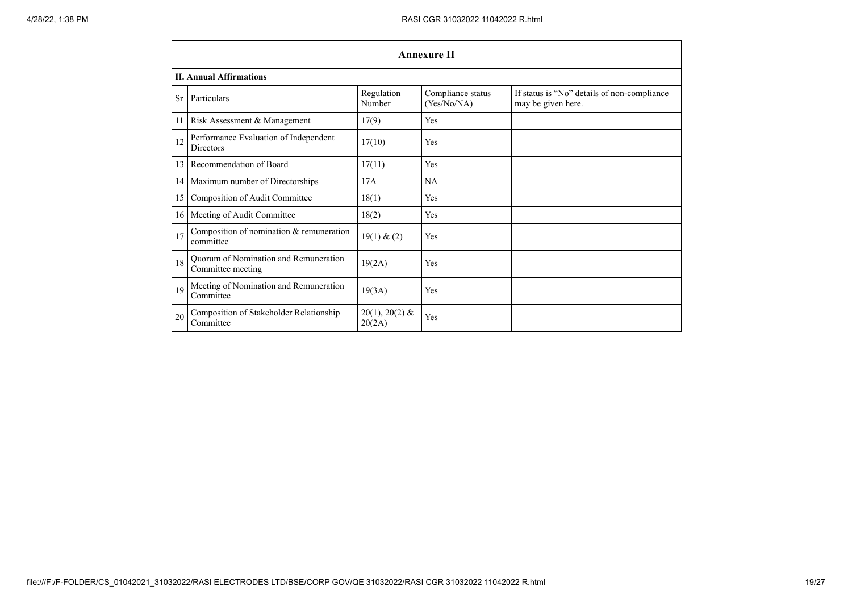|    | <b>Annexure II</b>                                         |                            |                                  |                                                                   |  |  |
|----|------------------------------------------------------------|----------------------------|----------------------------------|-------------------------------------------------------------------|--|--|
|    | <b>II. Annual Affirmations</b>                             |                            |                                  |                                                                   |  |  |
| Sr | Particulars                                                | Regulation<br>Number       | Compliance status<br>(Yes/No/NA) | If status is "No" details of non-compliance<br>may be given here. |  |  |
| 11 | Risk Assessment & Management                               | 17(9)                      | <b>Yes</b>                       |                                                                   |  |  |
| 12 | Performance Evaluation of Independent<br><b>Directors</b>  | 17(10)                     | Yes                              |                                                                   |  |  |
| 13 | Recommendation of Board                                    | 17(11)                     | Yes                              |                                                                   |  |  |
| 14 | Maximum number of Directorships                            | 17A                        | NA                               |                                                                   |  |  |
| 15 | Composition of Audit Committee                             | 18(1)                      | Yes                              |                                                                   |  |  |
| 16 | Meeting of Audit Committee                                 | 18(2)                      | Yes                              |                                                                   |  |  |
| 17 | Composition of nomination $&$ remuneration<br>committee    | 19(1) & (2)                | Yes                              |                                                                   |  |  |
| 18 | Quorum of Nomination and Remuneration<br>Committee meeting | 19(2A)                     | Yes                              |                                                                   |  |  |
| 19 | Meeting of Nomination and Remuneration<br>Committee        | 19(3A)                     | Yes                              |                                                                   |  |  |
| 20 | Composition of Stakeholder Relationship<br>Committee       | $20(1), 20(2)$ &<br>20(2A) | Yes                              |                                                                   |  |  |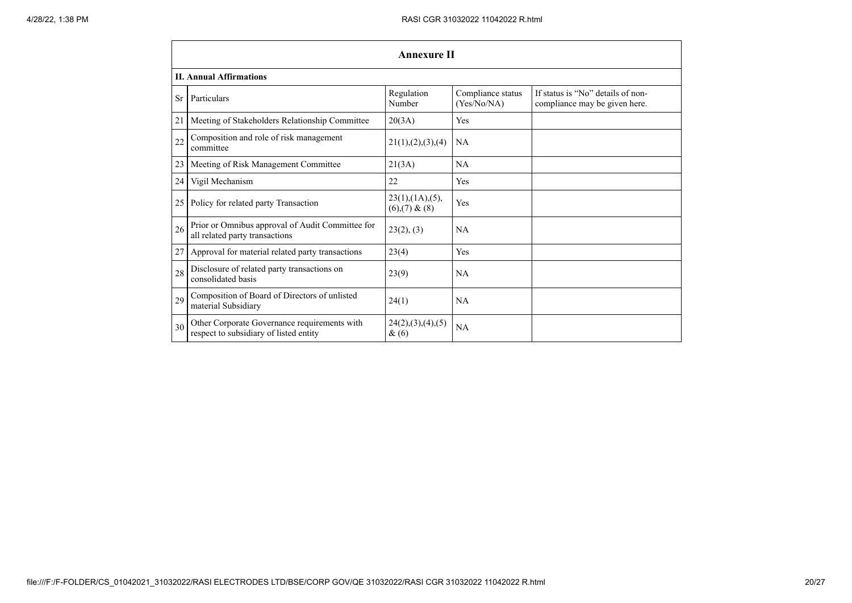- 14

|           | Annexure II                                                                            |                                            |                                  |                                                                    |  |  |
|-----------|----------------------------------------------------------------------------------------|--------------------------------------------|----------------------------------|--------------------------------------------------------------------|--|--|
|           | <b>II. Annual Affirmations</b>                                                         |                                            |                                  |                                                                    |  |  |
| <b>Sr</b> | Particulars                                                                            | Regulation<br>Number                       | Compliance status<br>(Yes/No/NA) | If status is "No" details of non-<br>compliance may be given here. |  |  |
| 21        | Meeting of Stakeholders Relationship Committee                                         | 20(3A)                                     | Yes                              |                                                                    |  |  |
| 22        | Composition and role of risk management<br>committee                                   | 21(1), (2), (3), (4)                       | NA                               |                                                                    |  |  |
| 23        | Meeting of Risk Management Committee                                                   | 21(3A)                                     | NA                               |                                                                    |  |  |
| 24        | Vigil Mechanism                                                                        | 22                                         | Yes                              |                                                                    |  |  |
| 25        | Policy for related party Transaction                                                   | $23(1)$ , $(1A)$ , $(5)$ ,<br>(6)(7) & (8) | Yes                              |                                                                    |  |  |
| 26        | Prior or Omnibus approval of Audit Committee for<br>all related party transactions     | 23(2), (3)                                 | <b>NA</b>                        |                                                                    |  |  |
| 27        | Approval for material related party transactions                                       | 23(4)                                      | Yes                              |                                                                    |  |  |
| 28        | Disclosure of related party transactions on<br>consolidated basis                      | 23(9)                                      | NA                               |                                                                    |  |  |
| 29        | Composition of Board of Directors of unlisted<br>material Subsidiary                   | 24(1)                                      | <b>NA</b>                        |                                                                    |  |  |
| 30        | Other Corporate Governance requirements with<br>respect to subsidiary of listed entity | 24(2),(3),(4),(5)<br>&(6)                  | NA                               |                                                                    |  |  |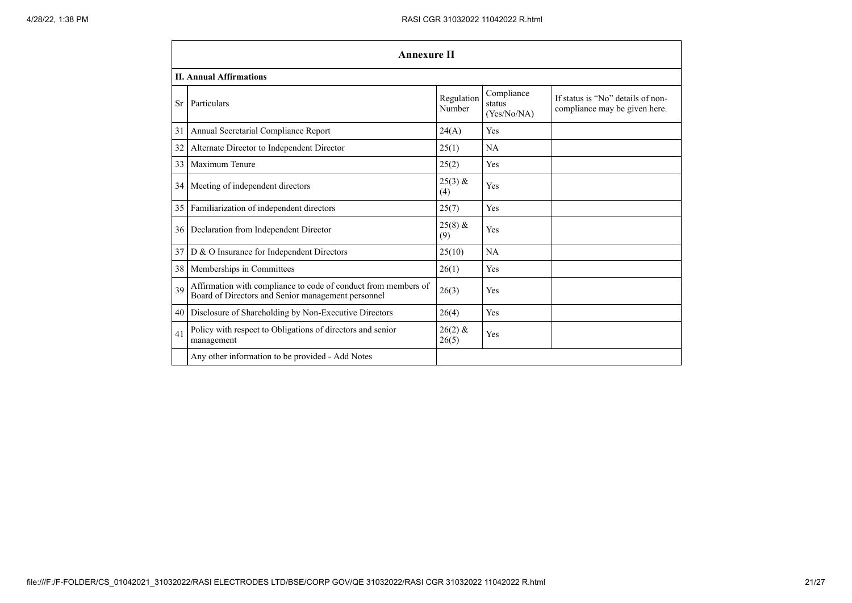- 14

|                 | <b>Annexure II</b>                                                                                                   |                      |                                     |                                                                    |  |
|-----------------|----------------------------------------------------------------------------------------------------------------------|----------------------|-------------------------------------|--------------------------------------------------------------------|--|
|                 | <b>II. Annual Affirmations</b>                                                                                       |                      |                                     |                                                                    |  |
| <b>Sr</b>       | Particulars                                                                                                          | Regulation<br>Number | Compliance<br>status<br>(Yes/No/NA) | If status is "No" details of non-<br>compliance may be given here. |  |
| 31              | Annual Secretarial Compliance Report                                                                                 | 24(A)                | Yes                                 |                                                                    |  |
| 32              | Alternate Director to Independent Director                                                                           | 25(1)                | NA                                  |                                                                    |  |
| 33              | Maximum Tenure                                                                                                       | 25(2)                | Yes                                 |                                                                    |  |
|                 | 34 Meeting of independent directors                                                                                  | $25(3)$ &<br>(4)     | Yes                                 |                                                                    |  |
| 35 <sup>1</sup> | Familiarization of independent directors                                                                             | 25(7)                | Yes                                 |                                                                    |  |
| 36 <sup>1</sup> | Declaration from Independent Director                                                                                | $25(8)$ &<br>(9)     | Yes                                 |                                                                    |  |
| 37 <sup>1</sup> | $D \& O$ Insurance for Independent Directors                                                                         | 25(10)               | NA                                  |                                                                    |  |
| 38 <sup>1</sup> | Memberships in Committees                                                                                            | 26(1)                | Yes                                 |                                                                    |  |
| 39              | Affirmation with compliance to code of conduct from members of<br>Board of Directors and Senior management personnel | 26(3)                | Yes                                 |                                                                    |  |
| 40              | Disclosure of Shareholding by Non-Executive Directors                                                                | 26(4)                | Yes                                 |                                                                    |  |
| 41              | Policy with respect to Obligations of directors and senior<br>management                                             | $26(2)$ &<br>26(5)   | Yes                                 |                                                                    |  |
|                 | Any other information to be provided - Add Notes                                                                     |                      |                                     |                                                                    |  |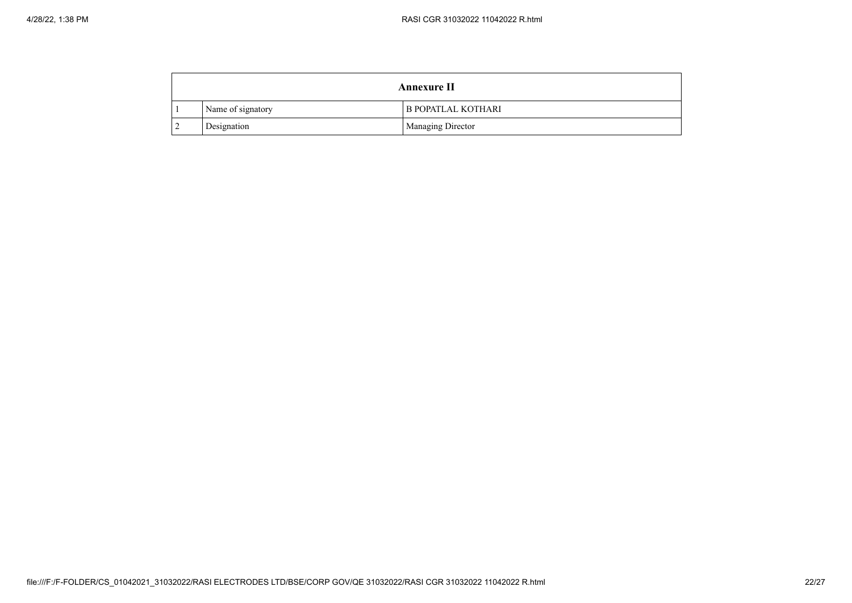| Annexure II |                   |                           |
|-------------|-------------------|---------------------------|
|             | Name of signatory | <b>B POPATLAL KOTHARI</b> |
|             | Designation       | <b>Managing Director</b>  |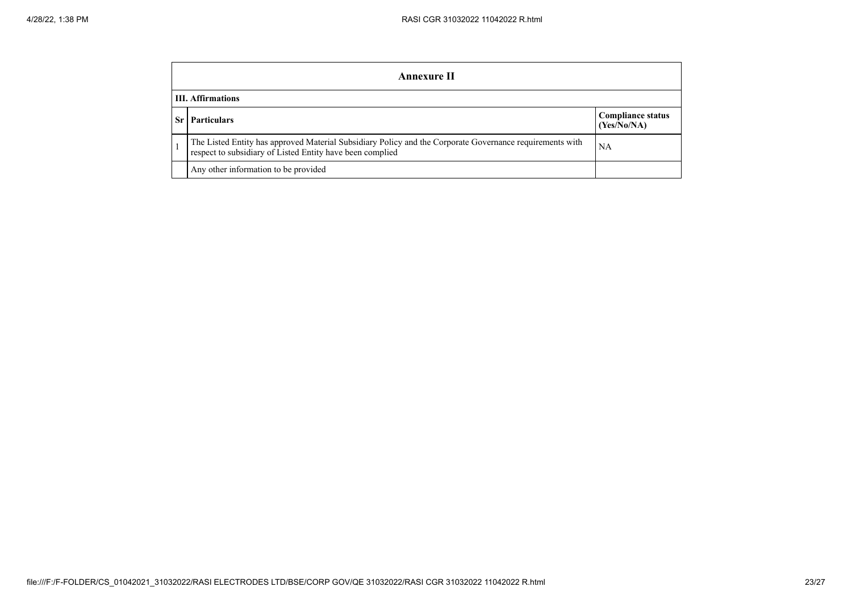| Annexure II                                                                                                                                                           |                                  |  |  |  |
|-----------------------------------------------------------------------------------------------------------------------------------------------------------------------|----------------------------------|--|--|--|
| <b>III.</b> Affirmations                                                                                                                                              |                                  |  |  |  |
| <b>Particulars</b>                                                                                                                                                    | Compliance status<br>(Yes/No/NA) |  |  |  |
| The Listed Entity has approved Material Subsidiary Policy and the Corporate Governance requirements with<br>respect to subsidiary of Listed Entity have been complied | NA                               |  |  |  |
| Any other information to be provided                                                                                                                                  |                                  |  |  |  |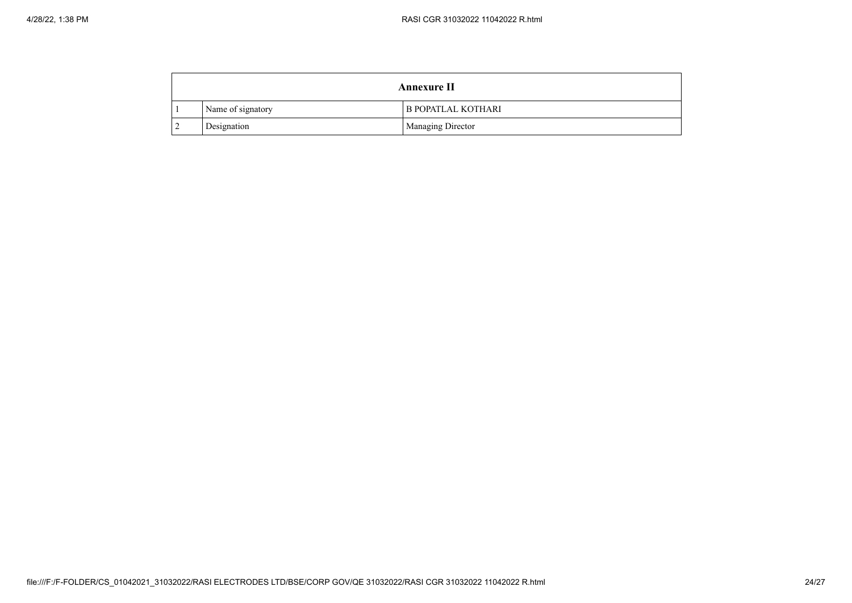| Annexure II |                   |                           |
|-------------|-------------------|---------------------------|
|             | Name of signatory | <b>B POPATLAL KOTHARI</b> |
|             | Designation       | <b>Managing Director</b>  |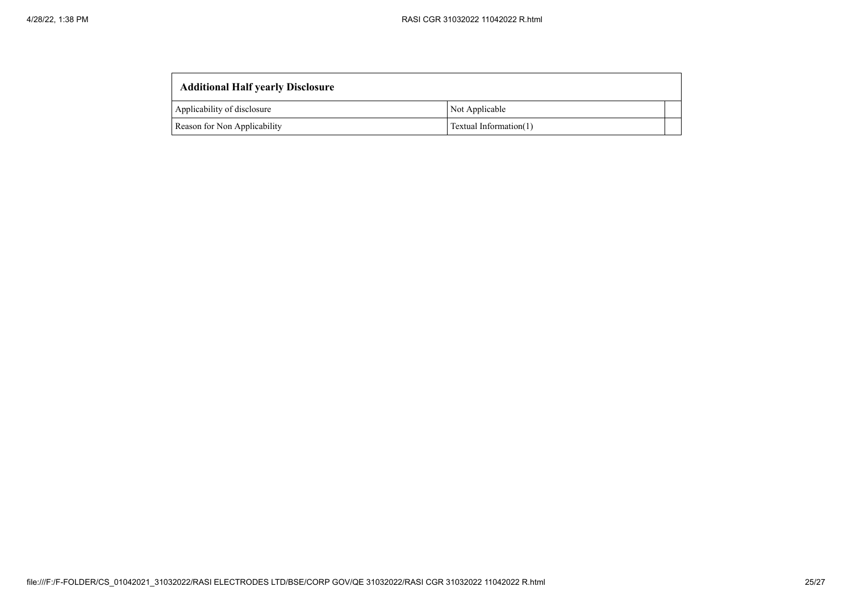| <b>Additional Half yearly Disclosure</b> |                        |  |
|------------------------------------------|------------------------|--|
| Applicability of disclosure              | Not Applicable         |  |
| Reason for Non Applicability             | Textual Information(1) |  |